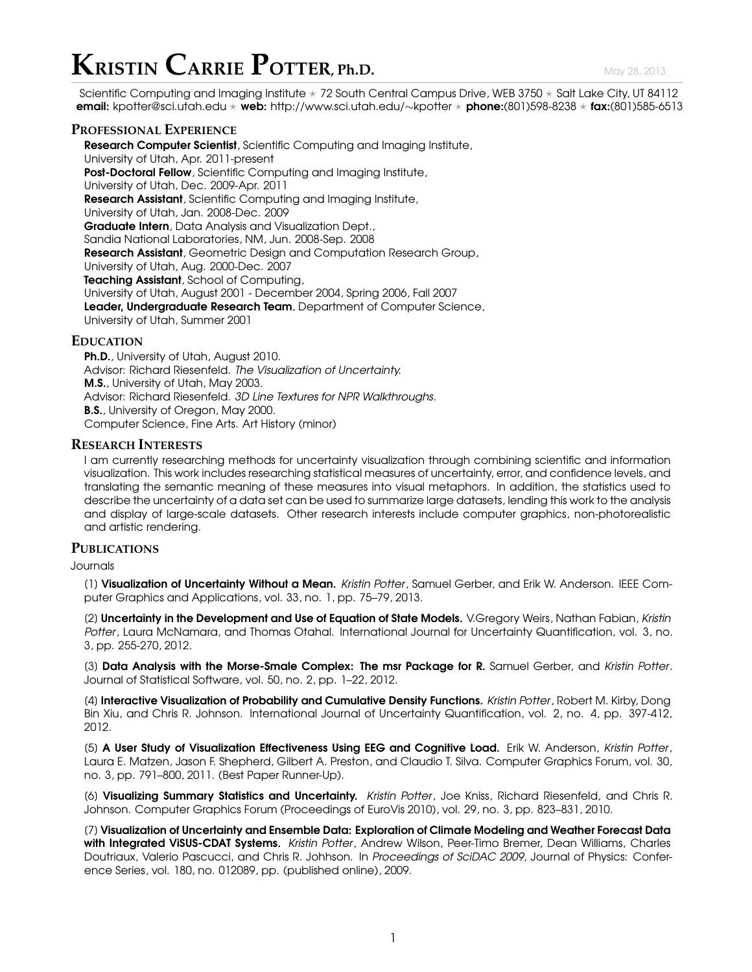# **KRISTIN CARRIE POTTER, Ph.D.** May 28, 2013

Scientific Computing and Imaging Institute  $\star$  72 South Central Campus Drive, WEB 3750  $\star$  Salt Lake City, UT 84112 email: kpotter@sci.utah.edu \* web: http://www.sci.utah.edu/∼kpotter \* phone:(801)598-8238 \* fax:(801)585-6513

## **PROFESSIONAL EXPERIENCE**

Research Computer Scientist, Scientific Computing and Imaging Institute, University of Utah, Apr. 2011-present Post-Doctoral Fellow, Scientific Computing and Imaging Institute, University of Utah, Dec. 2009-Apr. 2011 Research Assistant, Scientific Computing and Imaging Institute, University of Utah, Jan. 2008-Dec. 2009 Graduate Intern, Data Analysis and Visualization Dept., Sandia National Laboratories, NM, Jun. 2008-Sep. 2008 Research Assistant, Geometric Design and Computation Research Group, University of Utah, Aug. 2000-Dec. 2007 Teaching Assistant, School of Computing, University of Utah, August 2001 - December 2004, Spring 2006, Fall 2007 Leader, Undergraduate Research Team, Department of Computer Science, University of Utah, Summer 2001

## **EDUCATION**

Ph.D., University of Utah, August 2010. Advisor: Richard Riesenfeld. The Visualization of Uncertainty. M.S., University of Utah, May 2003. Advisor: Richard Riesenfeld. 3D Line Textures for NPR Walkthroughs. B.S., University of Oregon, May 2000. Computer Science, Fine Arts. Art History (minor)

## **RESEARCH INTERESTS**

I am currently researching methods for uncertainty visualization through combining scientific and information visualization. This work includes researching statistical measures of uncertainty, error, and confidence levels, and translating the semantic meaning of these measures into visual metaphors. In addition, the statistics used to describe the uncertainty of a data set can be used to summarize large datasets, lending this work to the analysis and display of large-scale datasets. Other research interests include computer graphics, non-photorealistic and artistic rendering.

## **PUBLICATIONS**

## Journals

[1] Visualization of Uncertainty Without a Mean. Kristin Potter, Samuel Gerber, and Erik W. Anderson. IEEE Computer Graphics and Applications, vol. 33, no. 1, pp. 75–79, 2013.

(2) Uncertainty in the Development and Use of Equation of State Models. V. Gregory Weirs, Nathan Fabian, Kristin Potter, Laura McNamara, and Thomas Otahal. International Journal for Uncertainty Quantification, vol. 3, no. 3, pp. 255-270, 2012.

(3) Data Analysis with the Morse-Smale Complex: The msr Package for R. Samuel Gerber, and Kristin Potter. Journal of Statistical Software, vol. 50, no. 2, pp. 1–22, 2012.

(4) Interactive Visualization of Probability and Cumulative Density Functions. Kristin Potter, Robert M. Kirby, Dong Bin Xiu, and Chris R. Johnson. International Journal of Uncertainty Quantification, vol. 2, no. 4, pp. 397-412, 2012.

[5] A User Study of Visualization Effectiveness Using EEG and Cognitive Load. Erik W. Anderson, Kristin Potter, Laura E. Matzen, Jason F. Shepherd, Gilbert A. Preston, and Claudio T. Silva. Computer Graphics Forum, vol. 30, no. 3, pp. 791–800, 2011. (Best Paper Runner-Up).

(6) Visualizing Summary Statistics and Uncertainty. Kristin Potter, Joe Kniss, Richard Riesenfeld, and Chris R. Johnson. Computer Graphics Forum (Proceedings of EuroVis 2010), vol. 29, no. 3, pp. 823–831, 2010.

[7] Visualization of Uncertainty and Ensemble Data: Exploration of Climate Modeling and Weather Forecast Data with Integrated ViSUS-CDAT Systems. Kristin Potter, Andrew Wilson, Peer-Timo Bremer, Dean Williams, Charles Doutriaux, Valerio Pascucci, and Chris R. Johhson. In Proceedings of SciDAC 2009, Journal of Physics: Conference Series, vol. 180, no. 012089, pp. (published online), 2009.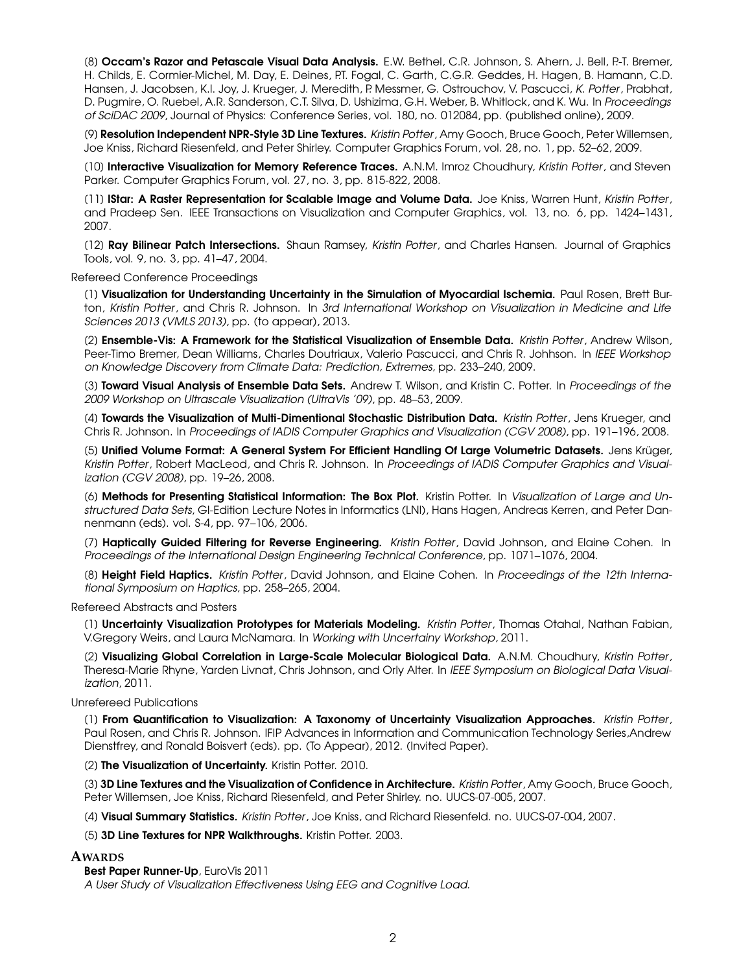(8) Occam's Razor and Petascale Visual Data Analysis. E.W. Bethel, C.R. Johnson, S. Ahern, J. Bell, P.-T. Bremer, H. Childs, E. Cormier-Michel, M. Day, E. Deines, P.T. Fogal, C. Garth, C.G.R. Geddes, H. Hagen, B. Hamann, C.D. Hansen, J. Jacobsen, K.I. Joy, J. Krueger, J. Meredith, P. Messmer, G. Ostrouchov, V. Pascucci, K. Potter, Prabhat, D. Pugmire, O. Ruebel, A.R. Sanderson, C.T. Silva, D. Ushizima, G.H. Weber, B. Whitlock, and K. Wu. In Proceedings of SciDAC 2009, Journal of Physics: Conference Series, vol. 180, no. 012084, pp. (published online), 2009.

(9) Resolution Independent NPR-Style 3D Line Textures. Kristin Potter, Amy Gooch, Bruce Gooch, Peter Willemsen, Joe Kniss, Richard Riesenfeld, and Peter Shirley. Computer Graphics Forum, vol. 28, no. 1, pp. 52–62, 2009.

(10) Interactive Visualization for Memory Reference Traces. A.N.M. Imroz Choudhury, Kristin Potter, and Steven Parker. Computer Graphics Forum, vol. 27, no. 3, pp. 815-822, 2008.

[11] IStar: A Raster Representation for Scalable Image and Volume Data. Joe Kniss, Warren Hunt, Kristin Potter, and Pradeep Sen. IEEE Transactions on Visualization and Computer Graphics, vol. 13, no. 6, pp. 1424–1431, 2007.

(12) Ray Bilinear Patch Intersections. Shaun Ramsey, Kristin Potter, and Charles Hansen. Journal of Graphics Tools, vol. 9, no. 3, pp. 41–47, 2004.

#### Refereed Conference Proceedings

(1) Visualization for Understanding Uncertainty in the Simulation of Myocardial Ischemia. Paul Rosen, Brett Burton, Kristin Potter, and Chris R. Johnson. In 3rd International Workshop on Visualization in Medicine and Life Sciences 2013 (VMLS 2013), pp. (to appear), 2013.

(2) Ensemble-Vis: A Framework for the Statistical Visualization of Ensemble Data. Kristin Potter, Andrew Wilson, Peer-Timo Bremer, Dean Williams, Charles Doutriaux, Valerio Pascucci, and Chris R. Johhson. In IEEE Workshop on Knowledge Discovery from Climate Data: Prediction, Extremes, pp. 233–240, 2009.

(3) Toward Visual Analysis of Ensemble Data Sets. Andrew T. Wilson, and Kristin C. Potter. In Proceedings of the 2009 Workshop on Ultrascale Visualization (UltraVis '09), pp. 48–53, 2009.

(4) Towards the Visualization of Multi-Dimentional Stochastic Distribution Data. Kristin Potter, Jens Krueger, and Chris R. Johnson. In Proceedings of IADIS Computer Graphics and Visualization (CGV 2008), pp. 191–196, 2008.

[5] Unified Volume Format: A General System For Efficient Handling Of Large Volumetric Datasets. Jens Kruger, ¨ Kristin Potter, Robert MacLeod, and Chris R. Johnson. In Proceedings of IADIS Computer Graphics and Visualization (CGV 2008), pp. 19–26, 2008.

[6] Methods for Presenting Statistical Information: The Box Plot. Kristin Potter. In Visualization of Large and Unstructured Data Sets, GI-Edition Lecture Notes in Informatics (LNI), Hans Hagen, Andreas Kerren, and Peter Dannenmann (eds). vol. S-4, pp. 97–106, 2006.

(7) Haptically Guided Filtering for Reverse Engineering. Kristin Potter, David Johnson, and Elaine Cohen. In Proceedings of the International Design Engineering Technical Conference, pp. 1071–1076, 2004.

(8) Height Field Haptics. Kristin Potter, David Johnson, and Elaine Cohen. In Proceedings of the 12th International Symposium on Haptics, pp. 258–265, 2004.

Refereed Abstracts and Posters

(1) Uncertainty Visualization Prototypes for Materials Modeling. Kristin Potter, Thomas Otahal, Nathan Fabian, V.Gregory Weirs, and Laura McNamara. In Working with Uncertainy Workshop, 2011.

(2) Visualizing Global Correlation in Large-Scale Molecular Biological Data. A.N.M. Choudhury, Kristin Potter, Theresa-Marie Rhyne, Yarden Livnat, Chris Johnson, and Orly Alter. In IEEE Symposium on Biological Data Visualization, 2011.

Unrefereed Publications

[1] From Quantification to Visualization: A Taxonomy of Uncertainty Visualization Approaches. Kristin Potter, Paul Rosen, and Chris R. Johnson. IFIP Advances in Information and Communication Technology Series,Andrew Dienstfrey, and Ronald Boisvert (eds). pp. (To Appear), 2012. (Invited Paper).

[2] The Visualization of Uncertainty. Kristin Potter. 2010.

(3) 3D Line Textures and the Visualization of Confidence in Architecture. Kristin Potter, Amy Gooch, Bruce Gooch, Peter Willemsen, Joe Kniss, Richard Riesenfeld, and Peter Shirley. no. UUCS-07-005, 2007.

[4] Visual Summary Statistics. Kristin Potter, Joe Kniss, and Richard Riesenfeld. no. UUCS-07-004, 2007.

[5] 3D Line Textures for NPR Walkthroughs. Kristin Potter. 2003.

#### **AWARDS**

#### Best Paper Runner-Up, EuroVis 2011

A User Study of Visualization Effectiveness Using EEG and Cognitive Load.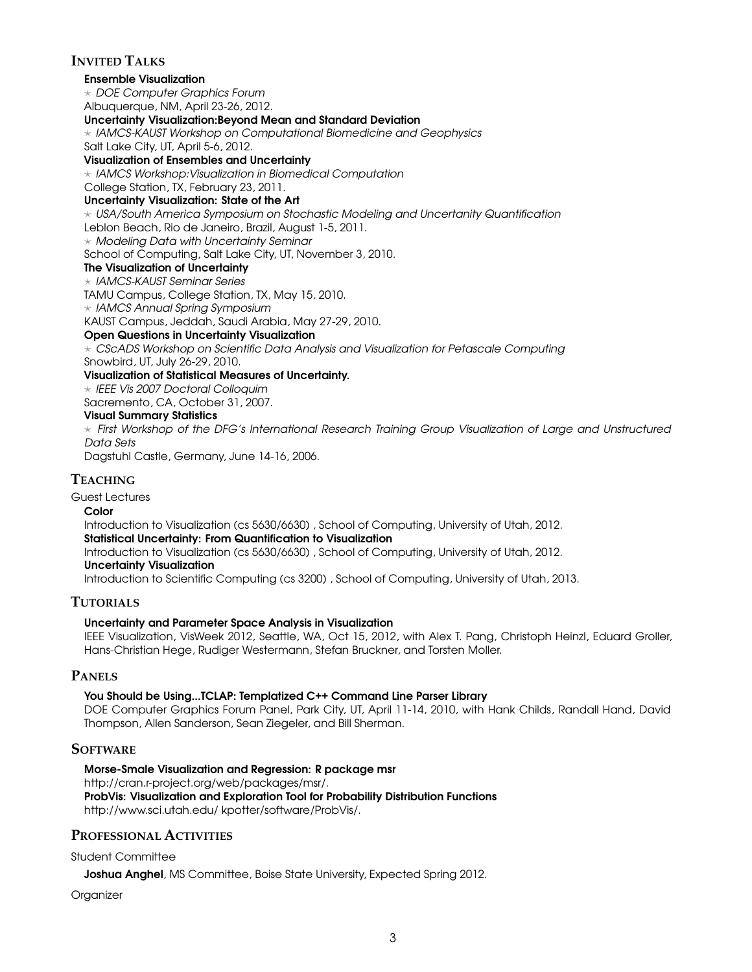## **INVITED TALKS**

## Ensemble Visualization

 $\star$  DOE Computer Graphics Forum Albuquerque, NM, April 23-26, 2012.

#### Uncertainty Visualization:Beyond Mean and Standard Deviation

 $\star$  IAMCS-KAUST Workshop on Computational Biomedicine and Geophysics

Salt Lake City, UT, April 5-6, 2012.

## Visualization of Ensembles and Uncertainty

 $\star$  IAMCS Workshop: Visualization in Biomedical Computation

College Station, TX, February 23, 2011.

## Uncertainty Visualization: State of the Art

 $\star$  USA/South America Symposium on Stochastic Modeling and Uncertanity Quantification

Leblon Beach, Rio de Janeiro, Brazil, August 1-5, 2011.

 $\star$  Modeling Data with Uncertainty Seminar

School of Computing, Salt Lake City, UT, November 3, 2010.

## The Visualization of Uncertainty

 $\star$  IAMCS-KAUST Seminar Series

TAMU Campus, College Station, TX, May 15, 2010.

 $\star$  IAMCS Annual Spring Symposium

KAUST Campus, Jeddah, Saudi Arabia, May 27-29, 2010.

## Open Questions in Uncertainty Visualization

 $\star$  CScADS Workshop on Scientific Data Analysis and Visualization for Petascale Computing

Snowbird, UT, July 26-29, 2010.

## Visualization of Statistical Measures of Uncertainty.

 $\star$  IEEE Vis 2007 Doctoral Colloquim

Sacremento, CA, October 31, 2007.

## Visual Summary Statistics

 $\star$  First Workshop of the DFG's International Research Training Group Visualization of Large and Unstructured Data Sets

Dagstuhl Castle, Germany, June 14-16, 2006.

## **TEACHING**

Guest Lectures

#### Color

Introduction to Visualization (cs 5630/6630) , School of Computing, University of Utah, 2012. Statistical Uncertainty: From Quantification to Visualization

Introduction to Visualization (cs 5630/6630) , School of Computing, University of Utah, 2012.

## Uncertainty Visualization

Introduction to Scientific Computing (cs 3200) , School of Computing, University of Utah, 2013.

## **TUTORIALS**

## Uncertainty and Parameter Space Analysis in Visualization

IEEE Visualization, VisWeek 2012, Seattle, WA, Oct 15, 2012, with Alex T. Pang, Christoph Heinzl, Eduard Groller, Hans-Christian Hege, Rudiger Westermann, Stefan Bruckner, and Torsten Moller.

## **PANELS**

## You Should be Using...TCLAP: Templatized C++ Command Line Parser Library

DOE Computer Graphics Forum Panel, Park City, UT, April 11-14, 2010, with Hank Childs, Randall Hand, David Thompson, Allen Sanderson, Sean Ziegeler, and Bill Sherman.

## **SOFTWARE**

Morse-Smale Visualization and Regression: R package msr http://cran.r-project.org/web/packages/msr/. ProbVis: Visualization and Exploration Tool for Probability Distribution Functions http://www.sci.utah.edu/ kpotter/software/ProbVis/.

## **PROFESSIONAL ACTIVITIES**

Student Committee

**Joshua Anghel**, MS Committee, Boise State University, Expected Spring 2012.

**Organizer**